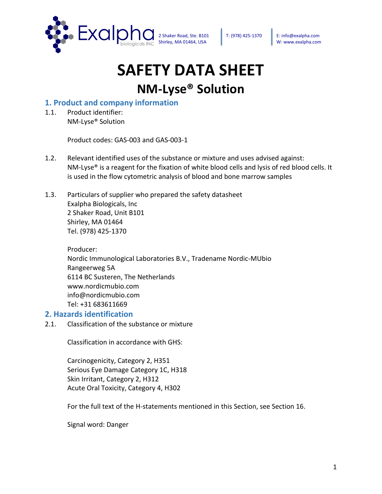

# **SAFETY DATA SHEET**

# **NM-Lyse® Solution**

#### **1. Product and company information**

1.1. Product identifier: NM-Lyse® Solution

Product codes: GAS-003 and GAS-003-1

- 1.2. Relevant identified uses of the substance or mixture and uses advised against: NM-Lyse® is a reagent for the fixation of white blood cells and lysis of red blood cells. It is used in the flow cytometric analysis of blood and bone marrow samples
- 1.3. Particulars of supplier who prepared the safety datasheet Exalpha Biologicals, Inc 2 Shaker Road, Unit B101 Shirley, MA 01464 Tel. (978) 425-1370

Producer: Nordic Immunological Laboratories B.V., Tradename Nordic-MUbio Rangeerweg 5A 6114 BC Susteren, The Netherlands www.nordicmubio.com info@nordicmubio.com Tel: +31 683611669

#### **2. Hazards identification**

2.1. Classification of the substance or mixture

Classification in accordance with GHS:

Carcinogenicity, Category 2, H351 Serious Eye Damage Category 1C, H318 Skin Irritant, Category 2, H312 Acute Oral Toxicity, Category 4, H302

For the full text of the H-statements mentioned in this Section, see Section 16.

Signal word: Danger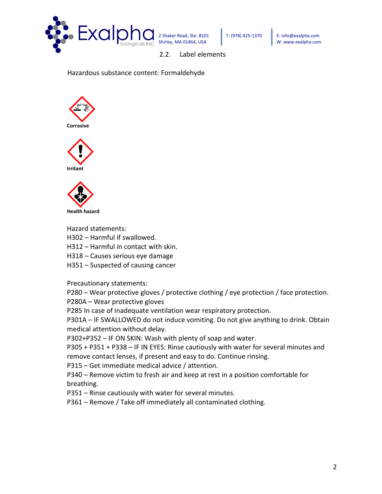

2.2. Label elements

Hazardous substance content: Formaldehyde







Hazard statements:

- H302 Harmful if swallowed.
- H312 Harmful in contact with skin.
- H318 Causes serious eye damage
- H351 Suspected of causing cancer

Precautionary statements:

P280 – Wear protective gloves / protective clothing / eye protection / face protection.

P280A – Wear protective gloves

P285 In case of inadequate ventilation wear respiratory protection.

P301A – IF SWALLOWED do not induce vomiting. Do not give anything to drink. Obtain medical attention without delay.

P302+P352 – IF ON SKIN: Wash with plenty of soap and water.

P305 + P351 + P338 – IF IN EYES: Rinse cautiously with water for several minutes and remove contact lenses, if present and easy to do. Continue rinsing.

P315 – Get immediate medical advice / attention.

P340 – Remove victim to fresh air and keep at rest in a position comfortable for breathing.

P351 – Rinse cautiously with water for several minutes.

P361 – Remove / Take off immediately all contaminated clothing.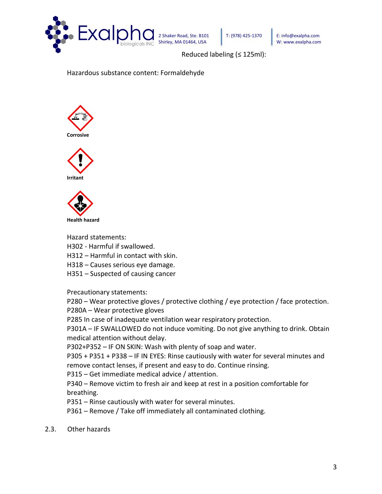

Reduced labeling (≤ 125ml):

Hazardous substance content: Formaldehyde







Hazard statements:

- H302 Harmful if swallowed.
- H312 Harmful in contact with skin.
- H318 Causes serious eye damage.
- H351 Suspected of causing cancer

Precautionary statements:

P280 – Wear protective gloves / protective clothing / eye protection / face protection.

P280A – Wear protective gloves

P285 In case of inadequate ventilation wear respiratory protection.

P301A – IF SWALLOWED do not induce vomiting. Do not give anything to drink. Obtain medical attention without delay.

P302+P352 – IF ON SKIN: Wash with plenty of soap and water.

P305 + P351 + P338 – IF IN EYES: Rinse cautiously with water for several minutes and remove contact lenses, if present and easy to do. Continue rinsing.

P315 – Get immediate medical advice / attention.

P340 – Remove victim to fresh air and keep at rest in a position comfortable for breathing.

P351 – Rinse cautiously with water for several minutes.

P361 – Remove / Take off immediately all contaminated clothing.

2.3. Other hazards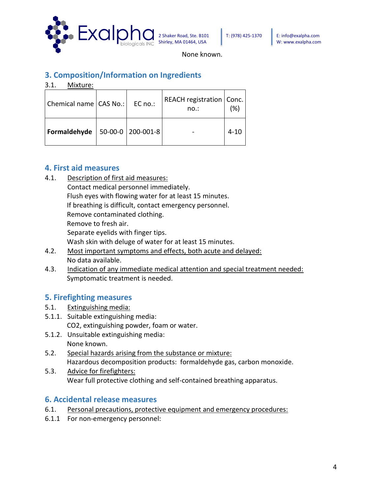

None known.

# **3. Composition/Information on Ingredients**

3.1. Mixture:

| Chemical name   CAS No.:   EC no.: |                           | REACH registration   Conc.  <br>no.: | (%   |
|------------------------------------|---------------------------|--------------------------------------|------|
| Formaldehyde                       | $  50-00-0   200-001-8  $ |                                      | 4-10 |

#### **4. First aid measures**

- 4.1. Description of first aid measures:
	- Contact medical personnel immediately. Flush eyes with flowing water for at least 15 minutes. If breathing is difficult, contact emergency personnel. Remove contaminated clothing. Remove to fresh air. Separate eyelids with finger tips. Wash skin with deluge of water for at least 15 minutes.
- 4.2. Most important symptoms and effects, both acute and delayed: No data available.
- 4.3. Indication of any immediate medical attention and special treatment needed: Symptomatic treatment is needed.

# **5. Firefighting measures**

- 5.1. Extinguishing media:
- 5.1.1. Suitable extinguishing media: CO2, extinguishing powder, foam or water.
- 5.1.2. Unsuitable extinguishing media: None known.
- 5.2. Special hazards arising from the substance or mixture: Hazardous decomposition products: formaldehyde gas, carbon monoxide.
- 5.3. Advice for firefighters: Wear full protective clothing and self-contained breathing apparatus.

#### **6. Accidental release measures**

- 6.1. Personal precautions, protective equipment and emergency procedures:
- 6.1.1 For non-emergency personnel: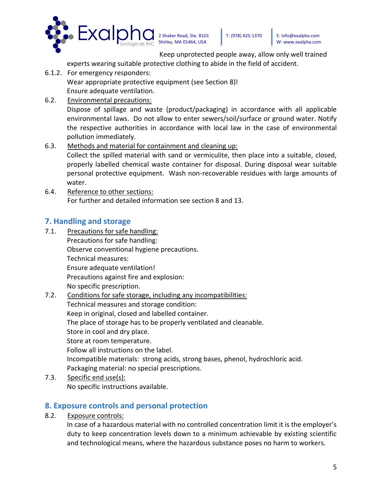

Keep unprotected people away, allow only well trained

experts wearing suitable protective clothing to abide in the field of accident.

- 6.1.2. For emergency responders: Wear appropriate protective equipment (see Section 8)! Ensure adequate ventilation.
- 6.2. Environmental precautions:

Dispose of spillage and waste (product/packaging) in accordance with all applicable environmental laws. Do not allow to enter sewers/soil/surface or ground water. Notify the respective authorities in accordance with local law in the case of environmental pollution immediately.

- 6.3. Methods and material for containment and cleaning up: Collect the spilled material with sand or vermiculite, then place into a suitable, closed, properly labelled chemical waste container for disposal. During disposal wear suitable personal protective equipment. Wash non-recoverable residues with large amounts of water.
- 6.4. Reference to other sections: For further and detailed information see section 8 and 13.

# **7. Handling and storage**

- 7.1. Precautions for safe handling: Precautions for safe handling: Observe conventional hygiene precautions. Technical measures: Ensure adequate ventilation! Precautions against fire and explosion: No specific prescription.
- 7.2. Conditions for safe storage, including any incompatibilities:
	- Technical measures and storage condition: Keep in original, closed and labelled container. The place of storage has to be properly ventilated and cleanable. Store in cool and dry place. Store at room temperature. Follow all instructions on the label. Incompatible materials: strong acids, strong bases, phenol, hydrochloric acid. Packaging material: no special prescriptions.
- 7.3. Specific end use(s): No specific instructions available.

# **8. Exposure controls and personal protection**

8.2. Exposure controls:

In case of a hazardous material with no controlled concentration limit it is the employer's duty to keep concentration levels down to a minimum achievable by existing scientific and technological means, where the hazardous substance poses no harm to workers.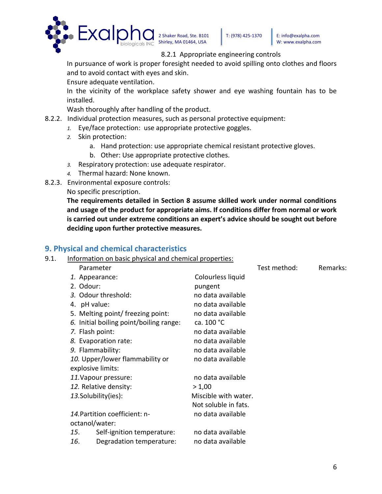

#### 8.2.1 Appropriate engineering controls

In pursuance of work is proper foresight needed to avoid spilling onto clothes and floors and to avoid contact with eyes and skin.

Ensure adequate ventilation.

In the vicinity of the workplace safety shower and eye washing fountain has to be installed.

Wash thoroughly after handling of the product.

- 8.2.2. Individual protection measures, such as personal protective equipment:
	- *1.* Eye/face protection: use appropriate protective goggles.
	- *2.* Skin protection:
		- a. Hand protection: use appropriate chemical resistant protective gloves.
		- b. Other: Use appropriate protective clothes.
	- *3.* Respiratory protection: use adequate respirator.
	- *4.* Thermal hazard: None known.
- 8.2.3. Environmental exposure controls:
	- No specific prescription.

**The requirements detailed in Section 8 assume skilled work under normal conditions and usage of the product for appropriate aims. If conditions differ from normal or work is carried out under extreme conditions an expert's advice should be sought out before deciding upon further protective measures.**

#### **9. Physical and chemical characteristics**

9.1. Information on basic physical and chemical properties:

|                                         | Parameter                  |                      | Test method: | Remarks: |
|-----------------------------------------|----------------------------|----------------------|--------------|----------|
|                                         | 1. Appearance:             | Colourless liquid    |              |          |
| 2. Odour:                               |                            | pungent              |              |          |
| 3. Odour threshold:                     |                            | no data available    |              |          |
| 4. pH value:                            |                            | no data available    |              |          |
| 5. Melting point/ freezing point:       |                            | no data available    |              |          |
| 6. Initial boiling point/boiling range: |                            | ca. 100 °C           |              |          |
| 7. Flash point:                         |                            | no data available    |              |          |
| 8. Evaporation rate:                    |                            | no data available    |              |          |
| 9. Flammability:                        |                            | no data available    |              |          |
| 10. Upper/lower flammability or         |                            | no data available    |              |          |
|                                         | explosive limits:          |                      |              |          |
| 11. Vapour pressure:                    |                            | no data available    |              |          |
| 12. Relative density:                   |                            | > 1,00               |              |          |
| 13.Solubility(ies):                     |                            | Miscible with water. |              |          |
|                                         |                            | Not soluble in fats. |              |          |
| 14. Partition coefficient: n-           |                            | no data available    |              |          |
|                                         | octanol/water:             |                      |              |          |
| 15.                                     | Self-ignition temperature: | no data available    |              |          |
| 16.                                     | Degradation temperature:   | no data available    |              |          |
|                                         |                            |                      |              |          |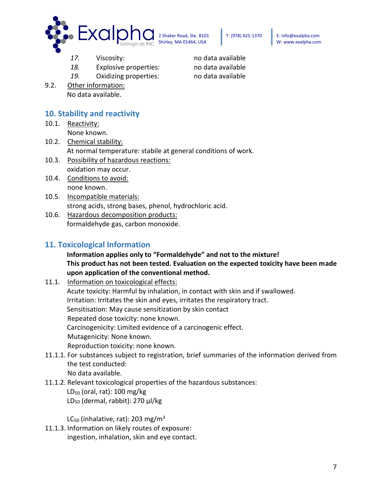

- 17. Viscosity: no data available
- *18.* Explosive properties: no data available
- *19.* Oxidizing properties: no data available
- 9.2. Other information: No data available.

#### **10. Stability and reactivity**

- 10.1. Reactivity: None known.
- 10.2. Chemical stability: At normal temperature: stabile at general conditions of work.
- 10.3. Possibility of hazardous reactions: oxidation may occur.
- 10.4. Conditions to avoid: none known.
- 10.5. Incompatible materials: strong acids, strong bases, phenol, hydrochloric acid.
- 10.6. Hazardous decomposition products: formaldehyde gas, carbon monoxide.

#### **11. Toxicological Information**

#### **Information applies only to "Formaldehyde" and not to the mixture! This product has not been tested. Evaluation on the expected toxicity have been made upon application of the conventional method.**

11.1. Information on toxicological effects:

Acute toxicity: Harmful by inhalation, in contact with skin and if swallowed. Irritation: Irritates the skin and eyes, irritates the respiratory tract. Sensitisation: May cause sensitization by skin contact Repeated dose toxicity: none known. Carcinogenicity: Limited evidence of a carcinogenic effect. Mutagenicity: None known. Reproduction toxicity: none known.

- 11.1.1. For substances subject to registration, brief summaries of the information derived from the test conducted: No data available.
- 11.1.2. Relevant toxicological properties of the hazardous substances:  $LD_{50}$  (oral, rat): 100 mg/kg LD<sup>50</sup> (dermal, rabbit): 270 μl/kg

LC<sub>50</sub> (inhalative, rat): 203 mg/m<sup>3</sup>

11.1.3. Information on likely routes of exposure: ingestion, inhalation, skin and eye contact.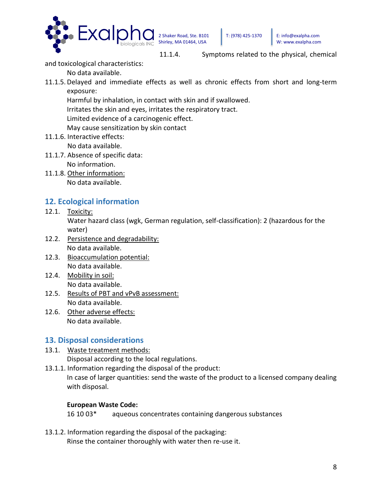

and toxicological characteristics:

No data available.

11.1.5. Delayed and immediate effects as well as chronic effects from short and long-term exposure:

Harmful by inhalation, in contact with skin and if swallowed.

Irritates the skin and eyes, irritates the respiratory tract.

Limited evidence of a carcinogenic effect.

May cause sensitization by skin contact

- 11.1.6. Interactive effects: No data available.
- 11.1.7. Absence of specific data: No information.
- 11.1.8. Other information: No data available.

# **12. Ecological information**

12.1. Toxicity:

Water hazard class (wgk, German regulation, self-classification): 2 (hazardous for the water)

- 12.2. Persistence and degradability: No data available.
- 12.3. Bioaccumulation potential: No data available.
- 12.4. Mobility in soil: No data available.
- 12.5. Results of PBT and vPvB assessment: No data available.
- 12.6. Other adverse effects: No data available.

# **13. Disposal considerations**

13.1. Waste treatment methods:

Disposal according to the local regulations.

13.1.1. Information regarding the disposal of the product:

In case of larger quantities: send the waste of the product to a licensed company dealing with disposal.

#### **European Waste Code:**

16 10 03\* aqueous concentrates containing dangerous substances

13.1.2. Information regarding the disposal of the packaging:

Rinse the container thoroughly with water then re-use it.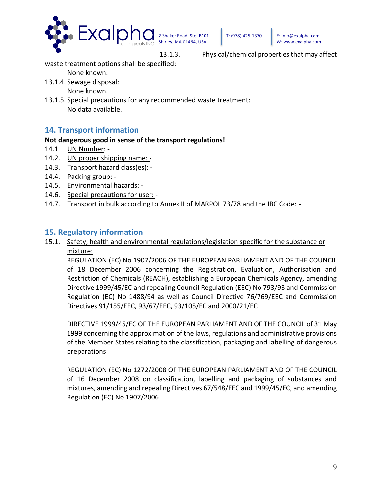

13.1.3. Physical/chemical properties that may affect

waste treatment options shall be specified:

None known.

13.1.4. Sewage disposal:

None known.

13.1.5. Special precautions for any recommended waste treatment: No data available.

#### **14. Transport information**

#### **Not dangerous good in sense of the transport regulations!**

- 14.1*.* UN Number: -
- 14.2. UN proper shipping name: -
- 14.3. Transport hazard class(es): -
- 14.4. Packing group: -
- 14.5. Environmental hazards: -
- 14.6. Special precautions for user: -
- 14.7. Transport in bulk according to Annex II of MARPOL 73/78 and the IBC Code: -

#### **15. Regulatory information**

#### 15.1. Safety, health and environmental regulations/legislation specific for the substance or mixture:

REGULATION (EC) No 1907/2006 OF THE EUROPEAN PARLIAMENT AND OF THE COUNCIL of 18 December 2006 concerning the Registration, Evaluation, Authorisation and Restriction of Chemicals (REACH), establishing a European Chemicals Agency, amending Directive 1999/45/EC and repealing Council Regulation (EEC) No 793/93 and Commission Regulation (EC) No 1488/94 as well as Council Directive 76/769/EEC and Commission Directives 91/155/EEC, 93/67/EEC, 93/105/EC and 2000/21/EC

DIRECTIVE 1999/45/EC OF THE EUROPEAN PARLIAMENT AND OF THE COUNCIL of 31 May 1999 concerning the approximation of the laws, regulations and administrative provisions of the Member States relating to the classification, packaging and labelling of dangerous preparations

REGULATION (EC) No 1272/2008 OF THE EUROPEAN PARLIAMENT AND OF THE COUNCIL of 16 December 2008 on classification, labelling and packaging of substances and mixtures, amending and repealing Directives 67/548/EEC and 1999/45/EC, and amending Regulation (EC) No 1907/2006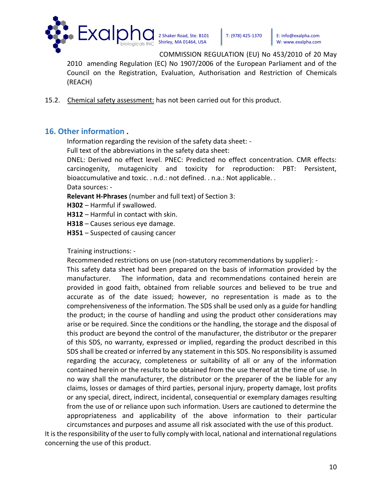

COMMISSION REGULATION (EU) No 453/2010 of 20 May

2010 amending Regulation (EC) No 1907/2006 of the European Parliament and of the Council on the Registration, Evaluation, Authorisation and Restriction of Chemicals (REACH)

15.2. Chemical safety assessment: has not been carried out for this product.

#### **16. Other information .**

Information regarding the revision of the safety data sheet: -

Full text of the abbreviations in the safety data sheet:

DNEL: Derived no effect level. PNEC: Predicted no effect concentration. CMR effects: carcinogenity, mutagenicity and toxicity for reproduction: PBT: Persistent, bioaccumulative and toxic. . n.d.: not defined. . n.a.: Not applicable. . Data sources: -

**Relevant H-Phrases** (number and full text) of Section 3:

**H302** – Harmful if swallowed.

**H312** – Harmful in contact with skin.

**H318** – Causes serious eye damage.

**H351** – Suspected of causing cancer

Training instructions: -

Recommended restrictions on use (non-statutory recommendations by supplier): -

This safety data sheet had been prepared on the basis of information provided by the manufacturer. The information, data and recommendations contained herein are provided in good faith, obtained from reliable sources and believed to be true and accurate as of the date issued; however, no representation is made as to the comprehensiveness of the information. The SDS shall be used only as a guide for handling the product; in the course of handling and using the product other considerations may arise or be required. Since the conditions or the handling, the storage and the disposal of this product are beyond the control of the manufacturer, the distributor or the preparer of this SDS, no warranty, expressed or implied, regarding the product described in this SDS shall be created or inferred by any statement in this SDS. No responsibility is assumed regarding the accuracy, completeness or suitability of all or any of the information contained herein or the results to be obtained from the use thereof at the time of use. In no way shall the manufacturer, the distributor or the preparer of the be liable for any claims, losses or damages of third parties, personal injury, property damage, lost profits or any special, direct, indirect, incidental, consequential or exemplary damages resulting from the use of or reliance upon such information. Users are cautioned to determine the appropriateness and applicability of the above information to their particular circumstances and purposes and assume all risk associated with the use of this product.

It is the responsibility of the user to fully comply with local, national and international regulations concerning the use of this product.